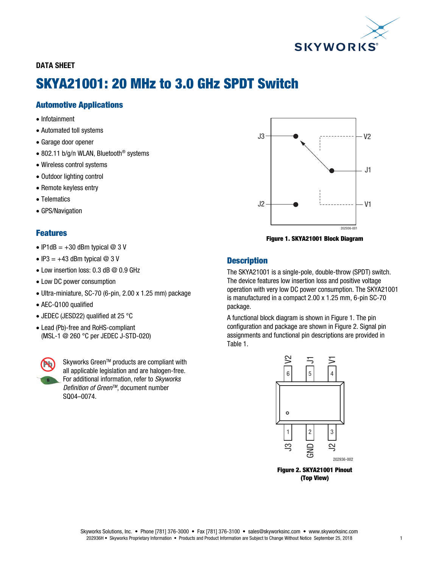

# DATA SHEET

# SKYA21001: 20 MHz to 3.0 GHz SPDT Switch

# Automotive Applications

- Infotainment
- Automated toll systems
- Garage door opener
- 802.11 b/g/n WLAN, Bluetooth<sup>®</sup> systems
- Wireless control systems
- Outdoor lighting control
- Remote keyless entry
- Telematics
- GPS/Navigation

# Features

- IP1dB =  $+30$  dBm typical @ 3 V
- $\bullet$  IP3 = +43 dBm typical @ 3 V
- Low insertion loss: 0.3 dB @ 0.9 GHz
- Low DC power consumption
- Ultra-miniature, SC-70 (6-pin, 2.00 x 1.25 mm) package
- AEC-Q100 qualified
- JEDEC (JESD22) qualified at 25 °C
- Lead (Pb)-free and RoHS-compliant (MSL-1 @ 260 °C per JEDEC J-STD-020)



Skyworks Green™ products are compliant with all applicable legislation and are halogen-free. For additional information, refer to *Skyworks Definition of Green™*, document number SQ04–0074.



Figure 1. SKYA21001 Block Diagram

## **Description**

The SKYA21001 is a single-pole, double-throw (SPDT) switch. The device features low insertion loss and positive voltage operation with very low DC power consumption. The SKYA21001 is manufactured in a compact 2.00 x 1.25 mm, 6-pin SC-70 package.

A functional block diagram is shown in Figure 1. The pin configuration and package are shown in Figure 2. Signal pin assignments and functional pin descriptions are provided in Table 1.



Figure 2. SKYA21001 Pinout (Top View)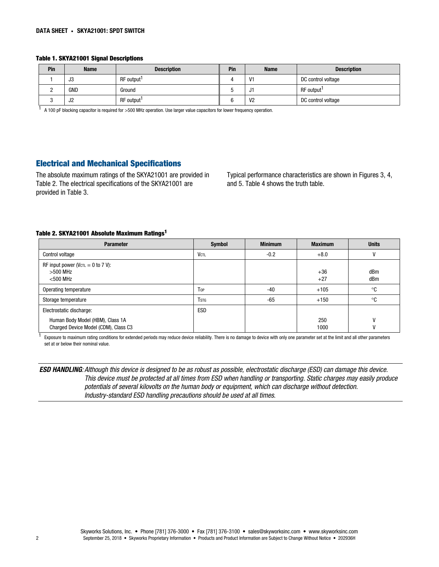#### Table 1. SKYA21001 Signal Descriptions

| Pin | <b>Name</b> | <b>Description</b>     | Pin | <b>Name</b>    | <b>Description</b>     |
|-----|-------------|------------------------|-----|----------------|------------------------|
|     | JJ          | RF output <sup>1</sup> |     | V1             | DC control voltage     |
|     | GND         | Ground                 | v   | ال             | RF output <sup>1</sup> |
|     | ےں          | RF output              |     | V <sub>2</sub> | DC control voltage     |

1 A 100 pF blocking capacitor is required for >500 MHz operation. Use larger value capacitors for lower frequency operation.

## Electrical and Mechanical Specifications

The absolute maximum ratings of the SKYA21001 are provided in Table 2. The electrical specifications of the SKYA21001 are provided in Table 3.

Typical performance characteristics are shown in Figures 3, 4, and 5. Table 4 shows the truth table.

### Table 2. SKYA21001 Absolute Maximum Ratings1

| <b>Parameter</b>                                                         | <b>Symbol</b> | <b>Minimum</b> | <b>Maximum</b> | <b>Units</b> |
|--------------------------------------------------------------------------|---------------|----------------|----------------|--------------|
| <b>Control voltage</b>                                                   | <b>VCTL</b>   | $-0.2$         | $+8.0$         |              |
| RF input power ( $Vc\tau$ = 0 to 7 V):<br>$>500$ MHz<br>$<$ 500 MHz      |               |                | $+36$<br>$+27$ | dBm<br>dBm   |
| Operating temperature                                                    | Top           | $-40$          | $+105$         | °C           |
| Storage temperature                                                      | <b>T</b> stg  | -65            | $+150$         | °C           |
| Electrostatic discharge:                                                 | <b>ESD</b>    |                |                |              |
| Human Body Model (HBM), Class 1A<br>Charged Device Model (CDM), Class C3 |               |                | 250<br>1000    |              |

<sup>1</sup> Exposure to maximum rating conditions for extended periods may reduce device reliability. There is no damage to device with only one parameter set at the limit and all other parameters set at or below their nominal value.

ESD HANDLING*: Although this device is designed to be as robust as possible, electrostatic discharge (ESD) can damage this device. This device must be protected at all times from ESD when handling or transporting. Static charges may easily produce potentials of several kilovolts on the human body or equipment, which can discharge without detection. Industry-standard ESD handling precautions should be used at all times.*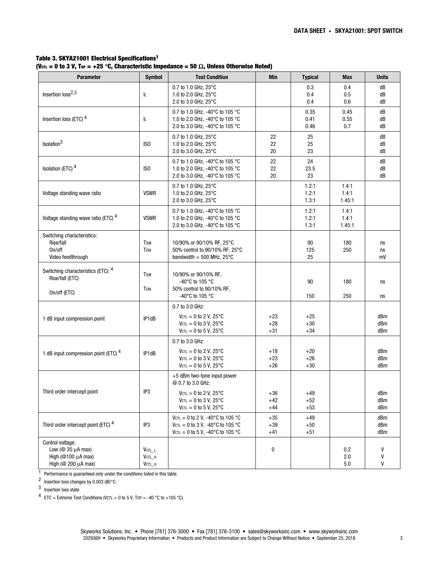#### Table 3. SKYA21001 Electrical Specifications1 (V<sub>CTL</sub> = 0 to 3 V, T<sub>OP</sub> = +25 °C, Characteristic Impedance = 50  $\Omega$ , Unless Otherwise Noted)

| <b>Parameter</b>                                                                                 | <b>Symbol</b>                             | <b>Test Condition</b>                                                                                                                        | Min                     | <b>Typical</b>          | <b>Max</b>               | <b>Units</b>      |
|--------------------------------------------------------------------------------------------------|-------------------------------------------|----------------------------------------------------------------------------------------------------------------------------------------------|-------------------------|-------------------------|--------------------------|-------------------|
| Insertion loss <sup>2,3</sup>                                                                    | IL.                                       | 0.7 to 1.0 GHz, 25°C<br>1.0 to 2.0 GHz, 25°C<br>2.0 to 3.0 GHz, 25°C                                                                         |                         | 0.3<br>0.4<br>0.4       | 0.4<br>0.5<br>0.6        | dB<br>dB<br>dB    |
| Insertion loss (ETC) <sup>4</sup>                                                                | IL.                                       | 0.7 to 1.0 GHz, -40°C to 105 °C<br>1.0 to 2.0 GHz, -40°C to 105 °C<br>2.0 to 3.0 GHz, -40°C to 105 °C                                        |                         | 0.35<br>0.41<br>0.46    | 0.45<br>0.55<br>0.7      | dB<br>dB<br>dB    |
| Isolation <sup>3</sup>                                                                           | IS <sub>0</sub>                           | 0.7 to 1.0 GHz, 25°C<br>1.0 to 2.0 GHz, 25°C<br>2.0 to 3.0 GHz, 25°C                                                                         | 22<br>22<br>20          | 25<br>25<br>23          |                          | dB<br>dB<br>dB    |
| Isolation (ETC) <sup>4</sup>                                                                     | IS <sub>0</sub>                           | 0.7 to 1.0 GHz, -40°C to 105 °C<br>1.0 to 2.0 GHz, -40°C to 105 °C<br>2.0 to 3.0 GHz, -40°C to 105 °C                                        | 22<br>22<br>20          | 24<br>23.5<br>23        |                          | dB<br>dB<br>dB    |
| Voltage standing wave ratio                                                                      | <b>VSWR</b>                               | 0.7 to 1.0 GHz, 25°C<br>1.0 to 2.0 GHz, 25°C<br>2.0 to 3.0 GHz, 25°C                                                                         |                         | 1.2:1<br>1.2:1<br>1.3:1 | 1.4:1<br>1.4:1<br>1.45:1 |                   |
| Voltage standing wave ratio (ETC) 4                                                              | <b>VSWR</b>                               | 0.7 to 1.0 GHz, -40°C to 105 °C<br>1.0 to 2.0 GHz, -40°C to 105 °C<br>2.0 to 3.0 GHz, -40°C to 105 °C                                        |                         | 1.2:1<br>1.2:1<br>1.3:1 | 1.4:1<br>1.4:1<br>1.45:1 |                   |
| Switching characteristics:<br>Rise/fall<br>On/off<br>Video feedthrough                           | <b>Tsw</b><br><b>TON</b>                  | 10/90% or 90/10% RF, 25°C<br>50% control to 90/10% RF, 25°C<br>bandwidth = $500$ MHz, $25^{\circ}$ C                                         |                         | 90<br>125<br>25         | 180<br>250               | ns<br>ns<br>mV    |
| Switching characteristics (ETC): 4<br>Rise/fall (ETC)                                            | <b>Tsw</b><br><b>TON</b>                  | 10/90% or 90/10% RF,<br>-40°C to 105 °C<br>50% control to 90/10% RF,                                                                         |                         | 90                      | 180                      | ns                |
| On/off (ETC)                                                                                     |                                           | -40 $^{\circ}$ C to 105 $^{\circ}$ C                                                                                                         |                         | 150                     | 250                      | ns                |
| 1 dB input compression point                                                                     | IP1dB                                     | 0.7 to 3.0 GHz:<br>$V_{\text{CTL}} = 0$ to 2 V, 25°C<br>$V_{\text{CTL}} = 0$ to 3 V, 25°C<br>$V_{\text{CTL}} = 0$ to 5 V, 25°C               | $+23$<br>$+28$<br>$+31$ | $+25$<br>$+30$<br>$+34$ |                          | dBm<br>dBm<br>dBm |
| 1 dB input compression point (ETC) <sup>4</sup>                                                  | IP1dB                                     | 0.7 to 3.0 GHz:<br>$V_{\text{CTL}} = 0$ to 2 V, 25°C<br>$V_{\text{CTL}} = 0$ to 3 V, 25°C<br>$V_{\text{CTL}} = 0$ to 5 V, 25°C               | $+18$<br>$+23$<br>$+26$ | $+20$<br>$+26$<br>$+30$ |                          | dBm<br>dBm<br>dBm |
|                                                                                                  | IP3                                       | +5 dBm two-tone input power<br>@ 0.7 to 3.0 GHz:                                                                                             |                         |                         |                          |                   |
| Third order intercept point                                                                      |                                           | $V_{\text{CTL}} = 0$ to 2 V, 25°C<br>$V$ CTL = 0 to 3 V, 25 $^{\circ}$ C<br>$VcTL = 0$ to 5 V. 25°C                                          | $+36$<br>$+42$<br>$+44$ | $+49$<br>$+52$<br>$+53$ |                          | dBm<br>dBm<br>dBm |
| Third order intercept point (ETC) <sup>4</sup>                                                   | IP3                                       | $V_{\text{CTL}} = 0$ to 2 V, -40°C to 105 °C<br>$V_{\text{CTL}} = 0$ to 3 V, -40°C to 105 °C<br>$V_{\text{CTL}} = 0$ to 5 V, -40°C to 105 °C | $+35$<br>$+39$<br>$+41$ | $+49$<br>$+50$<br>$+51$ |                          | dBm<br>dBm<br>dBm |
| Control voltage:<br>Low ( $@$ 20 $\mu$ A max)<br>High ( $@100 \mu A$ max)<br>High (@ 200 µA max) | $V$ CTL_L<br>$V$ CTL $_H$<br>$V$ CTL $_H$ |                                                                                                                                              | 0                       |                         | $0.2\,$<br>2.0<br>5.0    | V<br>V<br>V       |

1 Performance is guaranteed only under the conditions listed in this table.

2 Insertion loss changes by 0.003 dB/°C.

3 Insertion loss state.

4 ETC = Extreme Test Conditions (VCTL = 0 to 5 V, T0P = -40 °C to +105 °C).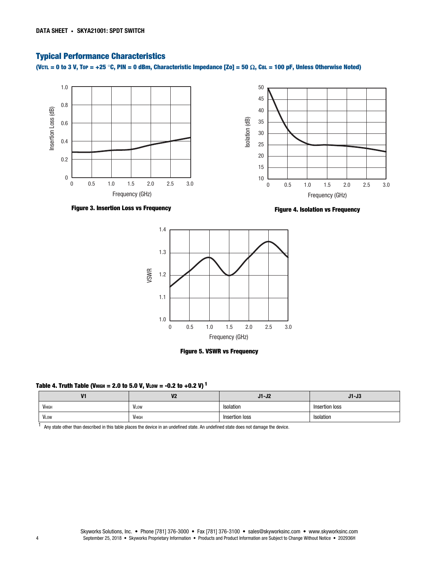## Typical Performance Characteristics

(VCTL = 0 to 3 V, Top = +25 °C, PIN = 0 dBm, Characteristic Impedance [Zo] = 50  $\Omega$ , CBL = 100 pF, Unless Otherwise Noted)



Figure 3. Insertion Loss vs Frequency

Figure 4. Isolation vs Frequency





#### Table 4. Truth Table (VHIGH = 2.0 to 5.0 V, VLOW = -0.2 to +0.2 V)<sup>1</sup>

| V <sub>1</sub><br>− | V <sub>2</sub><br>v.                   | $J1-J2$        | $J1-J3$        |  |
|---------------------|----------------------------------------|----------------|----------------|--|
| <b>V</b> ніgн       | VLOW                                   | Isolation      | Insertion loss |  |
| <b>VLOW</b>         | VHIGH<br>and the state of the state of | Insertion loss | Isolation      |  |

<sup>1</sup> Any state other than described in this table places the device in an undefined state. An undefined state does not damage the device.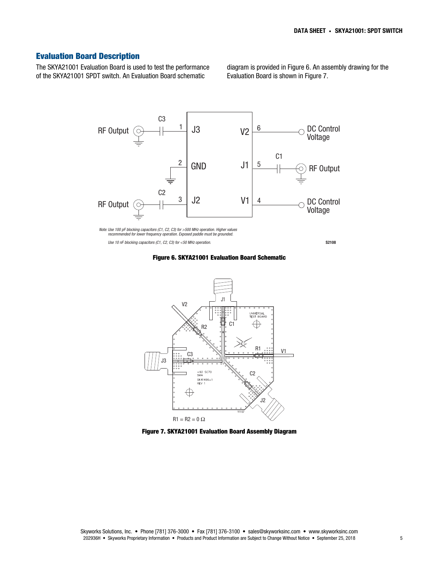## Evaluation Board Description

The SKYA21001 Evaluation Board is used to test the performance of the SKYA21001 SPDT switch. An Evaluation Board schematic

diagram is provided in Figure 6. An assembly drawing for the Evaluation Board is shown in Figure 7.



 *Use 10 nF blocking capacitors (C1, C2, C3) for <50 MHz operation.*

S2108

Figure 6. SKYA21001 Evaluation Board Schematic



Figure 7. SKYA21001 Evaluation Board Assembly Diagram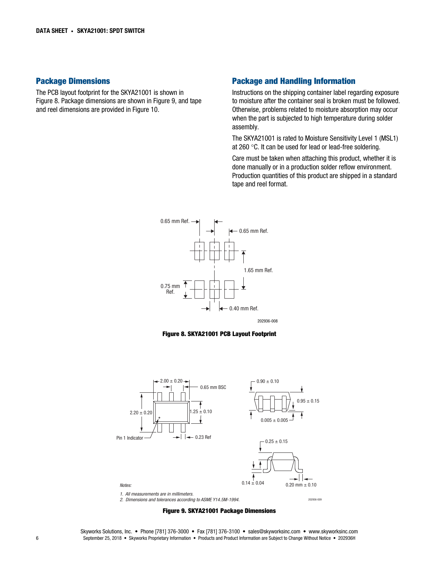#### Package Dimensions

The PCB layout footprint for the SKYA21001 is shown in Figure 8. Package dimensions are shown in Figure 9, and tape and reel dimensions are provided in Figure 10.

#### Package and Handling Information

Instructions on the shipping container label regarding exposure to moisture after the container seal is broken must be followed. Otherwise, problems related to moisture absorption may occur when the part is subjected to high temperature during solder assembly.

The SKYA21001 is rated to Moisture Sensitivity Level 1 (MSL1) at 260 °C. It can be used for lead or lead-free soldering.

Care must be taken when attaching this product, whether it is done manually or in a production solder reflow environment. Production quantities of this product are shipped in a standard tape and reel format.









#### Figure 9. SKYA21001 Package Dimensions

Skyworks Solutions, Inc. • Phone [781] 376-3000 • Fax [781] 376-3100 • sales@skyworksinc.com • www.skyworksinc.com 6 September 25, 2018 • Skyworks Proprietary Information • Products and Product Information are Subject to Change Without Notice • 202936H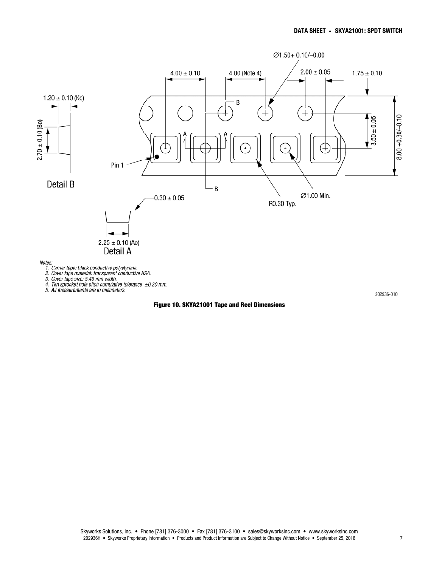

202936-010

#### Figure 10. SKYA21001 Tape and Reel Dimensions